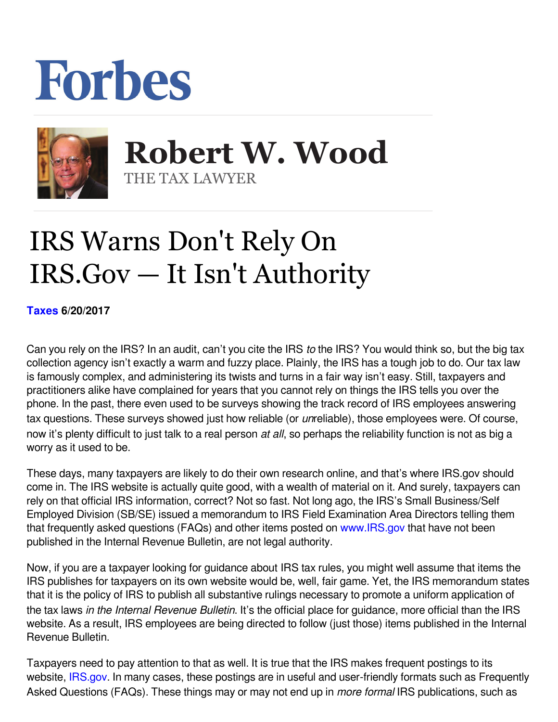## Forbes



 **Robert W. Wood** THE TAX LAWYER

## IRS Warns Don't Rely On IRS.Gov — It Isn't Authority

**[Taxes](https://www.forbes.com/taxes) 6/20/2017** 

Can you rely on the IRS? In an audit, can't you cite the IRS to the IRS? You would think so, but the big tax collection agency isn't exactly a warm and fuzzy place. Plainly, the IRS has a tough job to do. Our tax law is famously complex, and administering its twists and turns in a fair way isn't easy. Still, taxpayers and practitioners alike have complained for years that you cannot rely on things the IRS tells you over the phone. In the past, there even used to be surveys showing the track record of IRS employees answering tax questions. These surveys showed just how reliable (or *un*reliable), those employees were. Of course, now it's plenty difficult to just talk to a real person *at all*, so perhaps the reliability function is not as big a worry as it used to be.

These days, many taxpayers are likely to do their own research online, and that's where IRS.gov should come in. The IRS website is actually quite good, with a wealth of material on it. And surely, taxpayers can rely on that official IRS information, correct? Not so fast. Not long ago, the IRS's Small Business/Self Employed Division (SB/SE) issued a memorandum to IRS Field Examination Area Directors telling them that frequently asked questions (FAQs) and other items posted on [www.IRS.gov](http://www.IRS.gov) that have not been published in the Internal Revenue Bulletin, are not legal authority.

Now, if you are a taxpayer looking for guidance about IRS tax rules, you might well assume that items the IRS publishes for taxpayers on its own website would be, well, fair game. Yet, the IRS memorandum states that it is the policy of IRS to publish all substantive rulings necessary to promote a uniform application of the tax laws *in the Internal Revenue Bulletin*. It's the official place for guidance, more official than the IRS website. As a result, IRS employees are being directed to follow (just those) items published in the Internal Revenue Bulletin.

Taxpayers need to pay attention to that as well. It is true that the IRS makes frequent postings to its website, IRS[.](https://www.irs.gov/)gov. In many cases, these postings are in useful and user-friendly formats such as Frequently Asked Questions (FAQs). These things may or may not end up in *more formal* IRS publications, such as